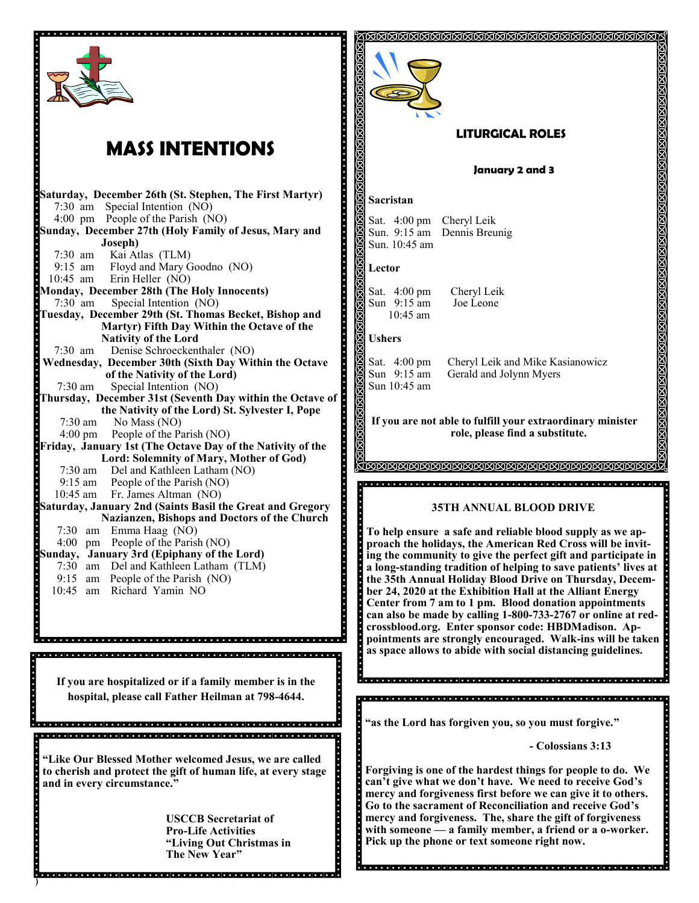

# **MASS INTENTIONS**

.....

|                                                         | Saturday, December 26th (St. Stephen, The First Martyr)    |  |
|---------------------------------------------------------|------------------------------------------------------------|--|
| $7:30$ am                                               | Special Intention (NO)                                     |  |
|                                                         | 4:00 pm People of the Parish (NO)                          |  |
| Sunday, December 27th (Holy Family of Jesus, Mary and   |                                                            |  |
|                                                         | Joseph)                                                    |  |
| $7:30 \text{ am}$<br>$\frac{7.50}{9.15}$ am             | Kai Atlas (TLM)                                            |  |
|                                                         | Floyd and Mary Goodno (NO)                                 |  |
| 10:45 am                                                | Erin Heller (NO)                                           |  |
|                                                         | Monday, December 28th (The Holy Innocents)                 |  |
| $7:30 \text{ am}$                                       | Special Intention (NO)                                     |  |
|                                                         | Tuesday, December 29th (St. Thomas Becket, Bishop and      |  |
|                                                         | Martyr) Fifth Day Within the Octave of the                 |  |
|                                                         | <b>Nativity of the Lord</b>                                |  |
| $7:30 \text{ am}$                                       | Denise Schroeckenthaler (NO)                               |  |
|                                                         | Wednesday, December 30th (Sixth Day Within the Octave      |  |
|                                                         | of the Nativity of the Lord)                               |  |
| 7:30 am                                                 | Special Intention (NO)                                     |  |
|                                                         | Thursday, December 31st (Seventh Day within the Octave of  |  |
|                                                         | the Nativity of the Lord) St. Sylvester I, Pope            |  |
| 7:30 am                                                 | No Mass (NO)<br>4:00 pm People of the Parish (NO)          |  |
|                                                         | Friday, January 1st (The Octave Day of the Nativity of the |  |
|                                                         | Lord: Solemnity of Mary, Mother of God)                    |  |
| 7:30 am                                                 | Del and Kathleen Latham (NO)                               |  |
|                                                         | 9:15 am People of the Parish (NO)                          |  |
|                                                         | 10:45 am Fr. James Altman (NO)                             |  |
|                                                         | Saturday, January 2nd (Saints Basil the Great and Gregory  |  |
|                                                         | Nazianzen, Bishops and Doctors of the Church               |  |
| 7:30<br>am                                              | Emma Haag (NO)                                             |  |
|                                                         | 4:00 pm People of the Parish (NO)                          |  |
|                                                         | Sunday, January 3rd (Epiphany of the Lord)                 |  |
|                                                         | 7:30 am Del and Kathleen Latham (TLM)                      |  |
| $9:15$ am                                               | People of the Parish (NO)                                  |  |
| 10:45<br>am                                             | Richard Yamin NO                                           |  |
|                                                         |                                                            |  |
|                                                         |                                                            |  |
|                                                         |                                                            |  |
|                                                         |                                                            |  |
|                                                         |                                                            |  |
|                                                         |                                                            |  |
|                                                         |                                                            |  |
| If you are hospitalized or if a family member is in the |                                                            |  |
| hospital, please call Father Heilman at 798-4644.       |                                                            |  |
|                                                         |                                                            |  |

**"Like Our Blessed Mother welcomed Jesus, we are called to cherish and protect the gift of human life, at every stage and in every circumstance."**

)

**USCCB Secretariat of Pro-Life Activities "Living Out Christmas in The New Year"**



**mercy and forgiveness first before we can give it to others. Go to the sacrament of Reconciliation and receive God's mercy and forgiveness. The, share the gift of forgiveness with someone — a family member, a friend or a o-worker. Pick up the phone or text someone right now.**